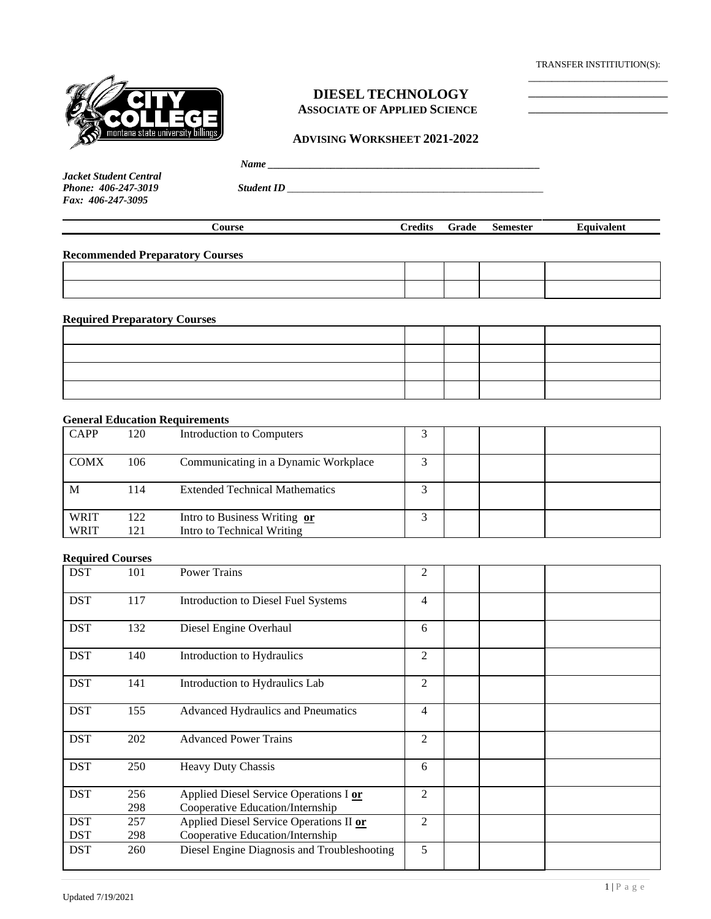TRANSFER INSTITIUTION(S): \_\_\_\_\_\_\_\_\_\_\_\_\_\_\_\_\_\_\_\_\_\_\_\_

\_\_\_\_\_\_\_\_\_\_\_\_\_\_\_\_\_\_\_\_ \_\_\_\_\_\_\_\_\_\_\_\_\_\_\_\_\_\_\_\_



# **DIESEL TECHNOLOGY ASSOCIATE OF APPLIED SCIENCE**

### **ADVISING WORKSHEET 2021-2022**

|--|

*Jacket Student Central Fax: 406-247-3095*

*Phone: 406-247-3019 Student ID \_\_\_\_\_\_\_\_\_\_\_\_\_\_\_\_\_\_\_\_\_\_\_\_\_\_\_\_\_\_\_\_\_\_\_\_\_\_\_\_\_\_\_\_\_\_\_\_\_*

| <b>Course</b><br><b>Credits</b><br><b>Semester</b><br>Grade<br>Equivalent |  |
|---------------------------------------------------------------------------|--|
|---------------------------------------------------------------------------|--|

**Recommended Preparatory Courses**

**Required Preparatory Courses**

| ---- - - - - - - - - - - - - - -<br>------- |  |  |
|---------------------------------------------|--|--|
|                                             |  |  |
|                                             |  |  |
|                                             |  |  |
|                                             |  |  |

#### **General Education Requirements**

| <b>CAPP</b> | 120 | Introduction to Computers             |  |  |
|-------------|-----|---------------------------------------|--|--|
| <b>COMX</b> | 106 | Communicating in a Dynamic Workplace  |  |  |
| M           | 114 | <b>Extended Technical Mathematics</b> |  |  |
| <b>WRIT</b> | 122 | Intro to Business Writing or          |  |  |
| WRIT        | 121 | Intro to Technical Writing            |  |  |

## **Required Courses**

| <b>DST</b> | 101 | <b>Power Trains</b>                         | $\overline{2}$ |  |
|------------|-----|---------------------------------------------|----------------|--|
| <b>DST</b> | 117 | <b>Introduction to Diesel Fuel Systems</b>  | 4              |  |
| <b>DST</b> | 132 | Diesel Engine Overhaul                      | 6              |  |
| <b>DST</b> | 140 | Introduction to Hydraulics                  | $\overline{c}$ |  |
| <b>DST</b> | 141 | Introduction to Hydraulics Lab              | 2              |  |
| <b>DST</b> | 155 | Advanced Hydraulics and Pneumatics          | 4              |  |
| <b>DST</b> | 202 | <b>Advanced Power Trains</b>                | $\overline{c}$ |  |
| <b>DST</b> | 250 | <b>Heavy Duty Chassis</b>                   | 6              |  |
| <b>DST</b> | 256 | Applied Diesel Service Operations I or      | 2              |  |
|            | 298 | Cooperative Education/Internship            |                |  |
| <b>DST</b> | 257 | Applied Diesel Service Operations II or     | 2              |  |
| <b>DST</b> | 298 | Cooperative Education/Internship            |                |  |
| <b>DST</b> | 260 | Diesel Engine Diagnosis and Troubleshooting | 5              |  |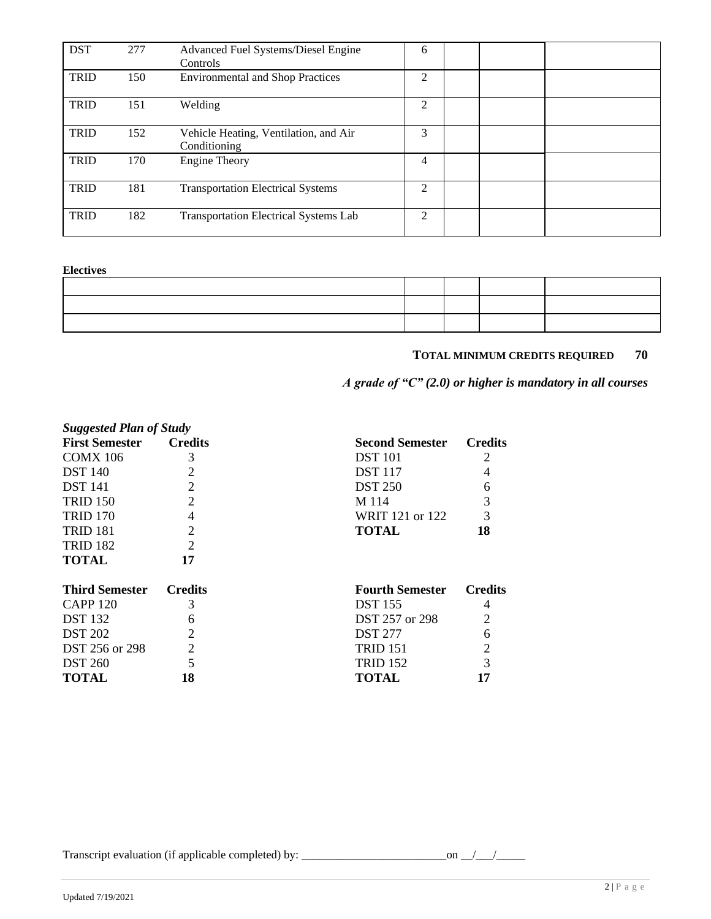| <b>DST</b>  | 277 | Advanced Fuel Systems/Diesel Engine<br>Controls       | 6              |  |  |
|-------------|-----|-------------------------------------------------------|----------------|--|--|
| <b>TRID</b> | 150 | <b>Environmental and Shop Practices</b>               | 2              |  |  |
| <b>TRID</b> | 151 | Welding                                               | 2              |  |  |
| <b>TRID</b> | 152 | Vehicle Heating, Ventilation, and Air<br>Conditioning | 3              |  |  |
| <b>TRID</b> | 170 | <b>Engine Theory</b>                                  | 4              |  |  |
| <b>TRID</b> | 181 | <b>Transportation Electrical Systems</b>              | $\mathfrak{D}$ |  |  |
| <b>TRID</b> | 182 | <b>Transportation Electrical Systems Lab</b>          | $\mathfrak{D}$ |  |  |

#### **Electives**

## **TOTAL MINIMUM CREDITS REQUIRED 70**

*A grade of "C" (2.0) or higher is mandatory in all courses*

| <b>Suggested Plan of Study</b> |                             |                        |                |
|--------------------------------|-----------------------------|------------------------|----------------|
| <b>First Semester</b>          | <b>Credits</b>              | <b>Second Semester</b> | <b>Credits</b> |
| <b>COMX 106</b>                | 3                           | <b>DST</b> 101         |                |
| <b>DST</b> 140                 |                             | <b>DST</b> 117         | 4              |
| <b>DST</b> 141                 | $\overline{2}$              | <b>DST 250</b>         | 6              |
| <b>TRID 150</b>                | $\overline{2}$              | M 114                  | 3              |
| <b>TRID 170</b>                | 4                           | WRIT 121 or 122        | 3              |
| <b>TRID 181</b>                | $\overline{2}$              | <b>TOTAL</b>           | 18             |
| <b>TRID 182</b>                | $\overline{2}$              |                        |                |
| <b>TOTAL</b>                   | 17                          |                        |                |
| <b>Third Semester</b>          | <b>Credits</b>              | <b>Fourth Semester</b> | <b>Credits</b> |
| <b>CAPP 120</b>                | 3                           | <b>DST</b> 155         | 4              |
| <b>DST</b> 132                 | 6                           | DST 257 or 298         | $\overline{2}$ |
| <b>DST 202</b>                 | $\mathcal{D}_{\mathcal{L}}$ | <b>DST 277</b>         | 6              |
| DST 256 or 298                 | $\overline{2}$              | TRID 151               | 2              |

DST 260 5 TRID 152 3 **TOTAL 18 TOTAL 17**

Transcript evaluation (if applicable completed) by: \_\_\_\_\_\_\_\_\_\_\_\_\_\_\_\_\_\_\_\_\_\_\_\_\_on \_\_/\_\_\_/\_\_\_\_\_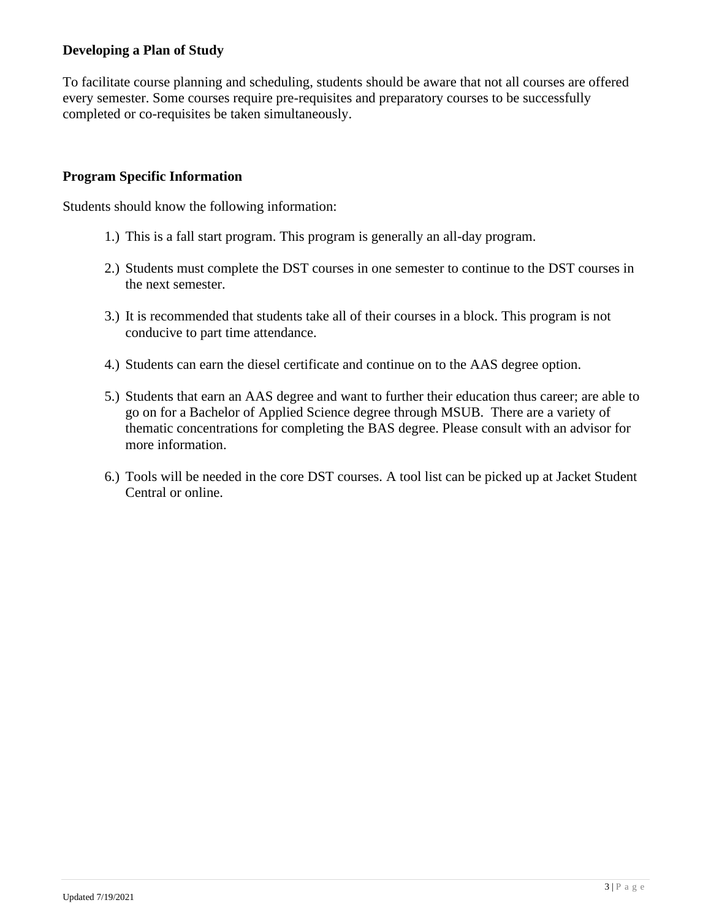# **Developing a Plan of Study**

To facilitate course planning and scheduling, students should be aware that not all courses are offered every semester. Some courses require pre-requisites and preparatory courses to be successfully completed or co-requisites be taken simultaneously.

# **Program Specific Information**

Students should know the following information:

- 1.) This is a fall start program. This program is generally an all-day program.
- 2.) Students must complete the DST courses in one semester to continue to the DST courses in the next semester.
- 3.) It is recommended that students take all of their courses in a block. This program is not conducive to part time attendance.
- 4.) Students can earn the diesel certificate and continue on to the AAS degree option.
- 5.) Students that earn an AAS degree and want to further their education thus career; are able to go on for a Bachelor of Applied Science degree through MSUB. There are a variety of thematic concentrations for completing the BAS degree. Please consult with an advisor for more information.
- 6.) Tools will be needed in the core DST courses. A tool list can be picked up at Jacket Student Central or online.